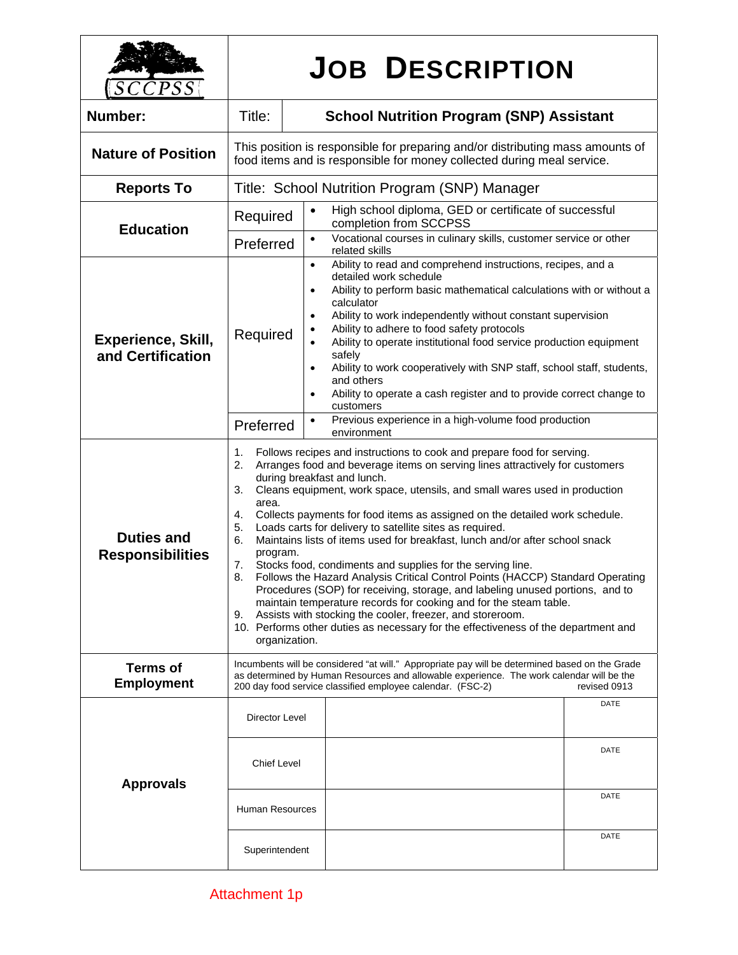| PSS                                          |                                                                                                                                                                                                                                                                                                                                                                                                                                                                                                                                                                                                                                                                                                                                                                                                                                                                                                                                                                                                                                                     | <b>JOB DESCRIPTION</b>                                                                                                                                                                                                                                                                                                                                                                                                                                                                                                                                                                                                                        |  |
|----------------------------------------------|-----------------------------------------------------------------------------------------------------------------------------------------------------------------------------------------------------------------------------------------------------------------------------------------------------------------------------------------------------------------------------------------------------------------------------------------------------------------------------------------------------------------------------------------------------------------------------------------------------------------------------------------------------------------------------------------------------------------------------------------------------------------------------------------------------------------------------------------------------------------------------------------------------------------------------------------------------------------------------------------------------------------------------------------------------|-----------------------------------------------------------------------------------------------------------------------------------------------------------------------------------------------------------------------------------------------------------------------------------------------------------------------------------------------------------------------------------------------------------------------------------------------------------------------------------------------------------------------------------------------------------------------------------------------------------------------------------------------|--|
| Number:                                      | Title:                                                                                                                                                                                                                                                                                                                                                                                                                                                                                                                                                                                                                                                                                                                                                                                                                                                                                                                                                                                                                                              | <b>School Nutrition Program (SNP) Assistant</b>                                                                                                                                                                                                                                                                                                                                                                                                                                                                                                                                                                                               |  |
| <b>Nature of Position</b>                    | This position is responsible for preparing and/or distributing mass amounts of<br>food items and is responsible for money collected during meal service.                                                                                                                                                                                                                                                                                                                                                                                                                                                                                                                                                                                                                                                                                                                                                                                                                                                                                            |                                                                                                                                                                                                                                                                                                                                                                                                                                                                                                                                                                                                                                               |  |
| <b>Reports To</b>                            | Title: School Nutrition Program (SNP) Manager                                                                                                                                                                                                                                                                                                                                                                                                                                                                                                                                                                                                                                                                                                                                                                                                                                                                                                                                                                                                       |                                                                                                                                                                                                                                                                                                                                                                                                                                                                                                                                                                                                                                               |  |
| <b>Education</b>                             | Required                                                                                                                                                                                                                                                                                                                                                                                                                                                                                                                                                                                                                                                                                                                                                                                                                                                                                                                                                                                                                                            | High school diploma, GED or certificate of successful<br>$\bullet$<br>completion from SCCPSS                                                                                                                                                                                                                                                                                                                                                                                                                                                                                                                                                  |  |
|                                              | Preferred                                                                                                                                                                                                                                                                                                                                                                                                                                                                                                                                                                                                                                                                                                                                                                                                                                                                                                                                                                                                                                           | Vocational courses in culinary skills, customer service or other<br>$\bullet$<br>related skills                                                                                                                                                                                                                                                                                                                                                                                                                                                                                                                                               |  |
| Experience, Skill,<br>and Certification      | Required                                                                                                                                                                                                                                                                                                                                                                                                                                                                                                                                                                                                                                                                                                                                                                                                                                                                                                                                                                                                                                            | Ability to read and comprehend instructions, recipes, and a<br>$\bullet$<br>detailed work schedule<br>Ability to perform basic mathematical calculations with or without a<br>$\bullet$<br>calculator<br>Ability to work independently without constant supervision<br>$\bullet$<br>Ability to adhere to food safety protocols<br>$\bullet$<br>Ability to operate institutional food service production equipment<br>$\bullet$<br>safely<br>Ability to work cooperatively with SNP staff, school staff, students,<br>$\bullet$<br>and others<br>Ability to operate a cash register and to provide correct change to<br>$\bullet$<br>customers |  |
|                                              | Preferred                                                                                                                                                                                                                                                                                                                                                                                                                                                                                                                                                                                                                                                                                                                                                                                                                                                                                                                                                                                                                                           | Previous experience in a high-volume food production<br>$\bullet$<br>environment                                                                                                                                                                                                                                                                                                                                                                                                                                                                                                                                                              |  |
| <b>Duties and</b><br><b>Responsibilities</b> | 1.<br>Follows recipes and instructions to cook and prepare food for serving.<br>2.<br>Arranges food and beverage items on serving lines attractively for customers<br>during breakfast and lunch.<br>3.<br>Cleans equipment, work space, utensils, and small wares used in production<br>area.<br>Collects payments for food items as assigned on the detailed work schedule.<br>4.<br>Loads carts for delivery to satellite sites as required.<br>5.<br>Maintains lists of items used for breakfast, lunch and/or after school snack<br>6.<br>program.<br>Stocks food, condiments and supplies for the serving line.<br>7.<br>8.<br>Follows the Hazard Analysis Critical Control Points (HACCP) Standard Operating<br>Procedures (SOP) for receiving, storage, and labeling unused portions, and to<br>maintain temperature records for cooking and for the steam table.<br>Assists with stocking the cooler, freezer, and storeroom.<br>9.<br>10. Performs other duties as necessary for the effectiveness of the department and<br>organization. |                                                                                                                                                                                                                                                                                                                                                                                                                                                                                                                                                                                                                                               |  |
| <b>Terms of</b><br><b>Employment</b>         | Incumbents will be considered "at will." Appropriate pay will be determined based on the Grade<br>as determined by Human Resources and allowable experience. The work calendar will be the<br>revised 0913<br>200 day food service classified employee calendar. (FSC-2)                                                                                                                                                                                                                                                                                                                                                                                                                                                                                                                                                                                                                                                                                                                                                                            |                                                                                                                                                                                                                                                                                                                                                                                                                                                                                                                                                                                                                                               |  |
| <b>Approvals</b>                             | Director Level<br><b>Chief Level</b>                                                                                                                                                                                                                                                                                                                                                                                                                                                                                                                                                                                                                                                                                                                                                                                                                                                                                                                                                                                                                | DATE<br>DATE                                                                                                                                                                                                                                                                                                                                                                                                                                                                                                                                                                                                                                  |  |
|                                              | <b>Human Resources</b>                                                                                                                                                                                                                                                                                                                                                                                                                                                                                                                                                                                                                                                                                                                                                                                                                                                                                                                                                                                                                              | DATE                                                                                                                                                                                                                                                                                                                                                                                                                                                                                                                                                                                                                                          |  |
|                                              | Superintendent                                                                                                                                                                                                                                                                                                                                                                                                                                                                                                                                                                                                                                                                                                                                                                                                                                                                                                                                                                                                                                      | DATE                                                                                                                                                                                                                                                                                                                                                                                                                                                                                                                                                                                                                                          |  |